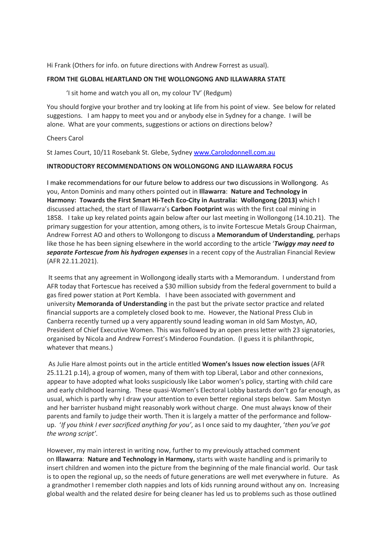Hi Frank (Others for info. on future directions with Andrew Forrest as usual).

### **FROM THE GLOBAL HEARTLAND ON THE WOLLONGONG AND ILLAWARRA STATE**

'I sit home and watch you all on, my colour TV' (Redgum)

You should forgive your brother and try looking at life from his point of view. See below for related suggestions. I am happy to meet you and or anybody else in Sydney for a change. I will be alone. What are your comments, suggestions or actions on directions below?

#### Cheers Carol

St James Court, 10/11 Rosebank St. Glebe, Sydney www.Carolodonnell.com.au

### **INTRODUCTORY RECOMMENDATIONS ON WOLLONGONG AND ILLAWARRA FOCUS**

I make recommendations for our future below to address our two discussions in Wollongong. As you, Anton Dominis and many others pointed out in **Illawarra**: **Nature and Technology in Harmony: Towards the First Smart Hi-Tech Eco-City in Australia: Wollongong (2013)** which I discussed attached, the start of Illawarra's **Carbon Footprint** was with the first coal mining in 1858. I take up key related points again below after our last meeting in Wollongong (14.10.21). The primary suggestion for your attention, among others, is to invite Fortescue Metals Group Chairman, Andrew Forrest AO and others to Wollongong to discuss a **Memorandum of Understanding**, perhaps like those he has been signing elsewhere in the world according to the article '*Twiggy may need to separate Fortescue from his hydrogen expenses* in a recent copy of the Australian Financial Review (AFR 22.11.2021).

It seems that any agreement in Wollongong ideally starts with a Memorandum. I understand from AFR today that Fortescue has received a \$30 million subsidy from the federal government to build a gas fired power station at Port Kembla. I have been associated with government and university **Memoranda of Understanding** in the past but the private sector practice and related financial supports are a completely closed book to me. However, the National Press Club in Canberra recently turned up a very apparently sound leading woman in old Sam Mostyn, AO, President of Chief Executive Women. This was followed by an open press letter with 23 signatories, organised by Nicola and Andrew Forrest's Minderoo Foundation. (I guess it is philanthropic, whatever that means.)

As Julie Hare almost points out in the article entitled **Women's Issues now election issues** (AFR 25.11.21 p.14), a group of women, many of them with top Liberal, Labor and other connexions, appear to have adopted what looks suspiciously like Labor women's policy, starting with child care and early childhood learning. These quasi-Women's Electoral Lobby bastards don't go far enough, as usual, which is partly why I draw your attention to even better regional steps below. Sam Mostyn and her barrister husband might reasonably work without charge. One must always know of their parents and family to judge their worth. Then it is largely a matter of the performance and followup. '*If you think I ever sacrificed anything for you'*, as I once said to my daughter, '*then you've got the wrong script'*.

However, my main interest in writing now, further to my previously attached comment on **Illawarra**: **Nature and Technology in Harmony,** starts with waste handling and is primarily to insert children and women into the picture from the beginning of the male financial world. Our task is to open the regional up, so the needs of future generations are well met everywhere in future. As a grandmother I remember cloth nappies and lots of kids running around without any on. Increasing global wealth and the related desire for being cleaner has led us to problems such as those outlined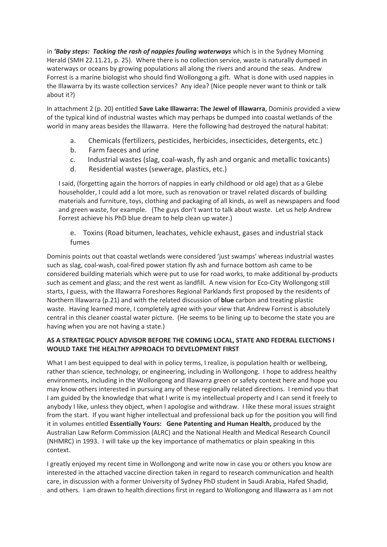in *'Baby steps: Tacking the rash of nappies fouling waterways* which is in the Sydney Morning Herald (SMH 22.11.21, p. 25). Where there is no collection service, waste is naturally dumped in waterways or oceans by growing populations all along the rivers and around the seas. Andrew Forrest is a marine biologist who should find Wollongong a gift. What is done with used nappies in the Illawarra by its waste collection services? Any idea? (Nice people never want to think or talk about it?)

In attachment 2 (p. 20) entitled **Save Lake Illawarra: The Jewel of Illawarra**, Dominis provided a view of the typical kind of industrial wastes which may perhaps be dumped into coastal wetlands of the world in many areas besides the Illawarra. Here the following had destroyed the natural habitat:

- a. Chemicals (fertilizers, pesticides, herbicides, insecticides, detergents, etc.)
- b. Farm faeces and urine
- c. Industrial wastes (slag, coal-wash, fly ash and organic and metallic toxicants)
- d. Residential wastes (sewerage, plastics, etc.)

I said, (forgetting again the horrors of nappies in early childhood or old age) that as a Glebe householder, I could add a lot more, such as renovation or travel related discards of building materials and furniture, toys, clothing and packaging of all kinds, as well as newspapers and food and green waste, for example. (The guys don't want to talk about waste. Let us help Andrew Forrest achieve his PhD blue dream to help clean up water.)

# e. Toxins (Road bitumen, leachates, vehicle exhaust, gases and industrial stack fumes

Dominis points out that coastal wetlands were considered 'just swamps' whereas industrial wastes such as slag, coal-wash, coal-fired power station fly ash and furnace bottom ash came to be considered building materials which were put to use for road works, to make additional by-products such as cement and glass; and the rest went as landfill. A new vision for Eco-City Wollongong still starts, I guess, with the Illawarra Foreshores Regional Parklands first proposed by the residents of Northern Illawarra (p.21) and with the related discussion of **blue** carbon and treating plastic waste. Having learned more, I completely agree with your view that Andrew Forrest is absolutely central in this cleaner coastal water picture. (He seems to be lining up to become the state you are having when you are not having a state.)

## **AS A STRATEGIC POLICY ADVISOR BEFORE THE COMING LOCAL, STATE AND FEDERAL ELECTIONS I WOULD TAKE THE HEALTHY APPROACH TO DEVELOPMENT FIRST**

What I am best equipped to deal with in policy terms, I realize, is population health or wellbeing, rather than science, technology, or engineering, including in Wollongong. I hope to address healthy environments, including in the Wollongong and Illawarra green or safety context here and hope you may know others interested in pursuing any of these regionally related directions. I remind you that I am guided by the knowledge that what I write is my intellectual property and I can send it freely to anybody I like, unless they object, when I apologise and withdraw. I like these moral issues straight from the start. If you want higher intellectual and professional back up for the position you will find it in volumes entitled **Essentially Yours: Gene Patenting and Human Health,** produced by the Australian Law Reform Commission (ALRC) and the National Health and Medical Research Council (NHMRC) in 1993. I will take up the key importance of mathematics or plain speaking in this context.

I greatly enjoyed my recent time in Wollongong and write now in case you or others you know are interested in the attached vaccine direction taken in regard to research communication and health care, in discussion with a former University of Sydney PhD student in Saudi Arabia, Hafed Shadid, and others. I am drawn to health directions first in regard to Wollongong and Illawarra as I am not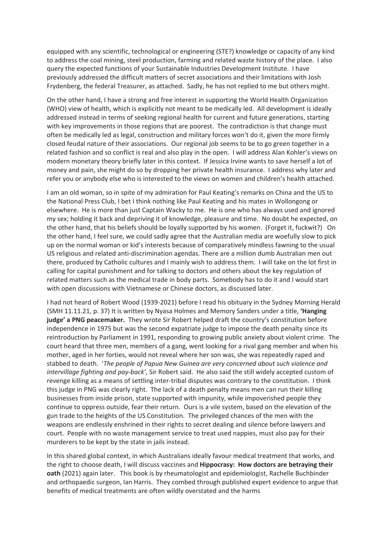equipped with any scientific, technological or engineering (STE?) knowledge or capacity of any kind to address the coal mining, steel production, farming and related waste history of the place. I also query the expected functions of your Sustainable Industries Development Institute. I have previously addressed the difficult matters of secret associations and their limitations with Josh Frydenberg, the federal Treasurer, as attached. Sadly, he has not replied to me but others might.

On the other hand, I have a strong and free interest in supporting the World Health Organization (WHO) view of health, which is explicitly not meant to be medically led. All development is ideally addressed instead in terms of seeking regional health for current and future generations, starting with key improvements in those regions that are poorest. The contradiction is that change must often be medically led as legal, construction and military forces won't do it, given the more firmly closed feudal nature of their associations. Our regional job seems to be to go green together in a related fashion and so conflict is real and also play in the open. I will address Alan Kohler's views on modern monetary theory briefly later in this context. If Jessica Irvine wants to save herself a lot of money and pain, she might do so by dropping her private health insurance. I address why later and refer you or anybody else who is interested to the views on women and children's health attached.

I am an old woman, so in spite of my admiration for Paul Keating's remarks on China and the US to the National Press Club, I bet I think nothing like Paul Keating and his mates in Wollongong or elsewhere. He is more than just Captain Wacky to me. He is one who has always used and ignored my sex; holding it back and depriving it of knowledge, pleasure and time. No doubt he expected, on the other hand, that his beliefs should be loyally supported by his women. (Forget it, fuckwit?) On the other hand, I feel sure, we could sadly agree that the Australian media are woefully slow to pick up on the normal woman or kid's interests because of comparatively mindless fawning to the usual US religious and related anti-discrimination agendas. There are a million dumb Australian men out there, produced by Catholic cultures and I mainly wish to address them. I will take on the lot first in calling for capital punishment and for talking to doctors and others about the key regulation of related matters such as the medical trade in body parts. Somebody has to do it and I would start with open discussions with Vietnamese or Chinese doctors, as discussed later.

I had not heard of Robert Wood (1939-2021) before I read his obituary in the Sydney Morning Herald (SMH 11.11.21, p. 37) It is written by Nyasa Holmes and Memory Sanders under a title, **'Hanging judge' a PNG peacemaker.** They wrote Sir Robert helped draft the country's constitution before independence in 1975 but was the second expatriate judge to impose the death penalty since its reintroduction by Parliament in 1991, responding to growing public anxiety about violent crime. The court heard that three men, members of a gang, went looking for a rival gang member and when his mother, aged in her forties, would not reveal where her son was, she was repeatedly raped and stabbed to death. '*The people of Papua New Guinea are very concerned about such violence and intervillage fighting and pay-back'*, Sir Robert said. He also said the still widely accepted custom of revenge killing as a means of settling inter-tribal disputes was contrary to the constitution. I think this judge in PNG was clearly right. The lack of a death penalty means men can run their killing businesses from inside prison, state supported with impunity, while impoverished people they continue to oppress outside, fear their return. Ours is a vile system, based on the elevation of the gun trade to the heights of the US Constitution. The privileged chances of the men with the weapons are endlessly enshrined in their rights to secret dealing and silence before lawyers and court. People with no waste management service to treat used nappies, must also pay for their murderers to be kept by the state in jails instead.

In this shared global context, in which Australians ideally favour medical treatment that works, and the right to choose death, I will discuss vaccines and **Hippocrasy: How doctors are betraying their oath** (2021) again later. This book is by rheumatologist and epidemiologist, Rachelle Buchbinder and orthopaedic surgeon, Ian Harris. They combed through published expert evidence to argue that benefits of medical treatments are often wildly overstated and the harms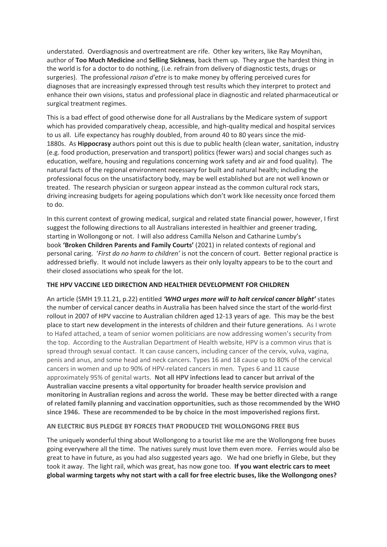understated. Overdiagnosis and overtreatment are rife. Other key writers, like Ray Moynihan, author of **Too Much Medicine** and **Selling Sickness**, back them up. They argue the hardest thing in the world is for a doctor to do nothing, (i.e. refrain from delivery of diagnostic tests, drugs or surgeries). The professional *raison d'etre* is to make money by offering perceived cures for diagnoses that are increasingly expressed through test results which they interpret to protect and enhance their own visions, status and professional place in diagnostic and related pharmaceutical or surgical treatment regimes.

This is a bad effect of good otherwise done for all Australians by the Medicare system of support which has provided comparatively cheap, accessible, and high-quality medical and hospital services to us all. Life expectancy has roughly doubled, from around 40 to 80 years since the mid-1880s. As **Hippocrasy** authors point out this is due to public health (clean water, sanitation, industry (e.g. food production, preservation and transport) politics (fewer wars) and social changes such as education, welfare, housing and regulations concerning work safety and air and food quality). The natural facts of the regional environment necessary for built and natural health; including the professional focus on the unsatisfactory body, may be well established but are not well known or treated. The research physician or surgeon appear instead as the common cultural rock stars, driving increasing budgets for ageing populations which don't work like necessity once forced them to do.

In this current context of growing medical, surgical and related state financial power, however, I first suggest the following directions to all Australians interested in healthier and greener trading, starting in Wollongong or not. I will also address Camilla Nelson and Catharine Lumby's book **'Broken Children Parents and Family Courts'** (2021) in related contexts of regional and personal caring. '*First do no harm to children'* is not the concern of court. Better regional practice is addressed briefly. It would not include lawyers as their only loyalty appears to be to the court and their closed associations who speak for the lot.

## **THE HPV VACCINE LED DIRECTION AND HEALTHIER DEVELOPMENT FOR CHILDREN**

An article (SMH 19.11.21, p.22) entitled *'WHO urges more will to halt cervical cancer blight'* states the number of cervical cancer deaths in Australia has been halved since the start of the world-first rollout in 2007 of HPV vaccine to Australian children aged 12-13 years of age. This may be the best place to start new development in the interests of children and their future generations. As I wrote to Hafed attached, a team of senior women politicians are now addressing women's security from the top. According to the Australian Department of Health website, HPV is a common virus that is spread through sexual contact. It can cause cancers, including cancer of the cervix, vulva, vagina, penis and anus, and some head and neck cancers. Types 16 and 18 cause up to 80% of the cervical cancers in women and up to 90% of HPV-related cancers in men. Types 6 and 11 cause approximately 95% of genital warts. **Not all HPV infections lead to cancer but arrival of the Australian vaccine presents a vital opportunity for broader health service provision and monitoring in Australian regions and across the world. These may be better directed with a range of related family planning and vaccination opportunities, such as those recommended by the WHO since 1946. These are recommended to be by choice in the most impoverished regions first.**

### **AN ELECTRIC BUS PLEDGE BY FORCES THAT PRODUCED THE WOLLONGONG FREE BUS**

The uniquely wonderful thing about Wollongong to a tourist like me are the Wollongong free buses going everywhere all the time. The natives surely must love them even more. Ferries would also be great to have in future, as you had also suggested years ago. We had one briefly in Glebe, but they took it away. The light rail, which was great, has now gone too. **If you want electric cars to meet global warming targets why not start with a call for free electric buses, like the Wollongong ones?**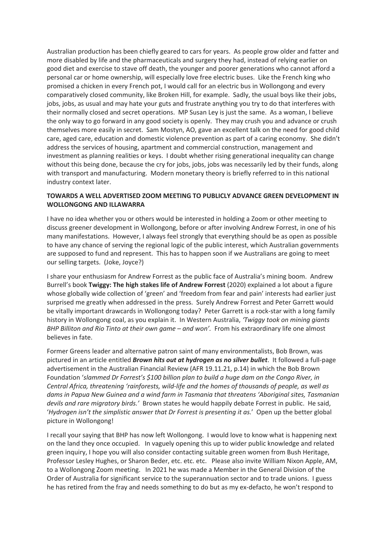Australian production has been chiefly geared to cars for years. As people grow older and fatter and more disabled by life and the pharmaceuticals and surgery they had, instead of relying earlier on good diet and exercise to stave off death, the younger and poorer generations who cannot afford a personal car or home ownership, will especially love free electric buses. Like the French king who promised a chicken in every French pot, I would call for an electric bus in Wollongong and every comparatively closed community, like Broken Hill, for example. Sadly, the usual boys like their jobs, jobs, jobs, as usual and may hate your guts and frustrate anything you try to do that interferes with their normally closed and secret operations. MP Susan Ley is just the same. As a woman, I believe the only way to go forward in any good society is openly. They may crush you and advance or crush themselves more easily in secret. Sam Mostyn, AO, gave an excellent talk on the need for good child care, aged care, education and domestic violence prevention as part of a caring economy. She didn't address the services of housing, apartment and commercial construction, management and investment as planning realities or keys. I doubt whether rising generational inequality can change without this being done, because the cry for jobs, jobs, jobs was necessarily led by their funds, along with transport and manufacturing. Modern monetary theory is briefly referred to in this national industry context later.

## **TOWARDS A WELL ADVERTISED ZOOM MEETING TO PUBLICLY ADVANCE GREEN DEVELOPMENT IN WOLLONGONG AND ILLAWARRA**

I have no idea whether you or others would be interested in holding a Zoom or other meeting to discuss greener development in Wollongong, before or after involving Andrew Forrest, in one of his many manifestations. However, I always feel strongly that everything should be as open as possible to have any chance of serving the regional logic of the public interest, which Australian governments are supposed to fund and represent. This has to happen soon if we Australians are going to meet our selling targets. (Joke, Joyce?)

I share your enthusiasm for Andrew Forrest as the public face of Australia's mining boom. Andrew Burrell's book **Twiggy: The high stakes life of Andrew Forrest** (2020) explained a lot about a figure whose globally wide collection of 'green' and 'freedom from fear and pain' interests had earlier just surprised me greatly when addressed in the press. Surely Andrew Forrest and Peter Garrett would be vitally important drawcards in Wollongong today? Peter Garrett is a rock-star with a long family history in Wollongong coal, as you explain it. In Western Australia, *'Twiggy took on mining giants BHP Billiton and Rio Tinto at their own game – and won'.* From his extraordinary life one almost believes in fate.

Former Greens leader and alternative patron saint of many environmentalists, Bob Brown, was pictured in an article entitled *Brown hits out at hydrogen as no silver bullet*. It followed a full-page advertisement in the Australian Financial Review (AFR 19.11.21, p.14) in which the Bob Brown Foundation '*slammed Dr Forrest's \$100 billion plan to build a huge dam on the Congo River, in Central Africa, threatening 'rainforests, wild-life and the homes of thousands of people, as well as dams in Papua New Guinea and a wind farm in Tasmania that threatens 'Aboriginal sites, Tasmanian devils and rare migratory birds.'* Brown states he would happily debate Forrest in public. He said, '*Hydrogen isn't the simplistic answer that Dr Forrest is presenting it as.*' Open up the better global picture in Wollongong!

I recall your saying that BHP has now left Wollongong. I would love to know what is happening next on the land they once occupied. In vaguely opening this up to wider public knowledge and related green inquiry, I hope you will also consider contacting suitable green women from Bush Heritage, Professor Lesley Hughes, or Sharon Beder, etc. etc. etc. Please also invite William Nixon Apple, AM, to a Wollongong Zoom meeting. In 2021 he was made a Member in the General Division of the Order of Australia for significant service to the superannuation sector and to trade unions. I guess he has retired from the fray and needs something to do but as my ex-defacto, he won't respond to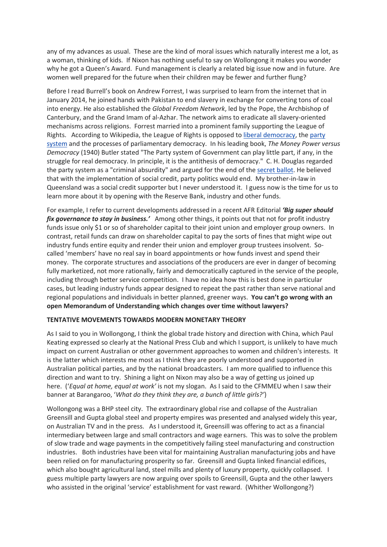any of my advances as usual. These are the kind of moral issues which naturally interest me a lot, as a woman, thinking of kids. If Nixon has nothing useful to say on Wollongong it makes you wonder why he got a Queen's Award. Fund management is clearly a related big issue now and in future. Are women well prepared for the future when their children may be fewer and further flung?

Before I read Burrell's book on Andrew Forrest, I was surprised to learn from the internet that in January 2014, he joined hands with Pakistan to end slavery in exchange for converting tons of coal into energy. He also established the *Global Freedom Network*, led by the Pope, the Archbishop of Canterbury, and the Grand Imam of al-Azhar. The network aims to eradicate all slavery-oriented mechanisms across religions. Forrest married into a prominent family supporting the League of Rights. According to Wikipedia, the League of Rights is opposed to liberal democracy, the party system and the processes of parliamentary democracy. In his leading book, *The Money Power versus Democracy* (1940) Butler stated "The Party system of Government can play little part, if any, in the struggle for real democracy. In principle, it is the antithesis of democracy." C. H. Douglas regarded the party system as a "criminal absurdity" and argued for the end of the secret ballot. He believed that with the implementation of social credit, party politics would end. My brother-in-law in Queensland was a social credit supporter but I never understood it. I guess now is the time for us to learn more about it by opening with the Reserve Bank, industry and other funds.

For example, I refer to current developments addressed in a recent AFR Editorial *'Big super should fix governance to stay in business.'* Among other things, it points out that not for profit industry funds issue only \$1 or so of shareholder capital to their joint union and employer group owners. In contrast, retail funds can draw on shareholder capital to pay the sorts of fines that might wipe out industry funds entire equity and render their union and employer group trustees insolvent. Socalled 'members' have no real say in board appointments or how funds invest and spend their money. The corporate structures and associations of the producers are ever in danger of becoming fully marketized, not more rationally, fairly and democratically captured in the service of the people, including through better service competition. I have no idea how this is best done in particular cases, but leading industry funds appear designed to repeat the past rather than serve national and regional populations and individuals in better planned, greener ways. **You can't go wrong with an open Memorandum of Understanding which changes over time without lawyers?**

### **TENTATIVE MOVEMENTS TOWARDS MODERN MONETARY THEORY**

As I said to you in Wollongong, I think the global trade history and direction with China, which Paul Keating expressed so clearly at the National Press Club and which I support, is unlikely to have much impact on current Australian or other government approaches to women and children's interests. It is the latter which interests me most as I think they are poorly understood and supported in Australian political parties, and by the national broadcasters. I am more qualified to influence this direction and want to try. Shining a light on Nixon may also be a way of getting us joined up here. ('*Equal at home, equal at work'* is not my slogan. As I said to the CFMMEU when I saw their banner at Barangaroo, '*What do they think they are, a bunch of little girls?'*)

Wollongong was a BHP steel city. The extraordinary global rise and collapse of the Australian Greensill and Gupta global steel and property empires was presented and analysed widely this year, on Australian TV and in the press. As I understood it, Greensill was offering to act as a financial intermediary between large and small contractors and wage earners. This was to solve the problem of slow trade and wage payments in the competitively failing steel manufacturing and construction industries. Both industries have been vital for maintaining Australian manufacturing jobs and have been relied on for manufacturing prosperity so far. Greensill and Gupta linked financial edifices, which also bought agricultural land, steel mills and plenty of luxury property, quickly collapsed. I guess multiple party lawyers are now arguing over spoils to Greensill, Gupta and the other lawyers who assisted in the original 'service' establishment for vast reward. (Whither Wollongong?)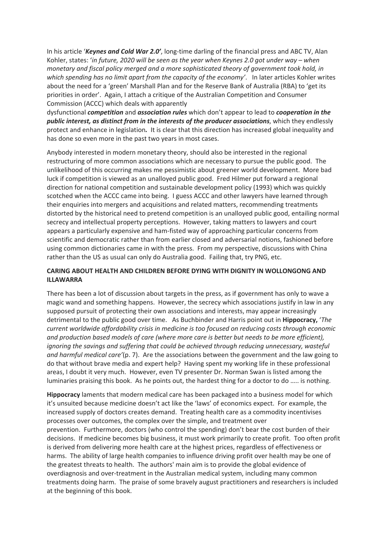In his article '*Keynes and Cold War 2.0'*, long-time darling of the financial press and ABC TV, Alan Kohler, states: '*in future, 2020 will be seen as the year when Keynes 2.0 got under way – when monetary and fiscal policy merged and a more sophisticated theory of government took hold, in which spending has no limit apart from the capacity of the economy'*. In later articles Kohler writes about the need for a 'green' Marshall Plan and for the Reserve Bank of Australia (RBA) to 'get its priorities in order'. Again, I attach a critique of the Australian Competition and Consumer Commission (ACCC) which deals with apparently

dysfunctional *competition* and *association rules* which don't appear to lead to *cooperation in the public interest, as distinct from in the interests of the producer associations*, which they endlessly protect and enhance in legislation*.* It is clear that this direction has increased global inequality and has done so even more in the past two years in most cases.

Anybody interested in modern monetary theory, should also be interested in the regional restructuring of more common associations which are necessary to pursue the public good. The unlikelihood of this occurring makes me pessimistic about greener world development. More bad luck if competition is viewed as an unalloyed public good. Fred Hilmer put forward a regional direction for national competition and sustainable development policy (1993) which was quickly scotched when the ACCC came into being. I guess ACCC and other lawyers have learned through their enquiries into mergers and acquisitions and related matters, recommending treatments distorted by the historical need to pretend competition is an unalloyed public good, entailing normal secrecy and intellectual property perceptions. However, taking matters to lawyers and court appears a particularly expensive and ham-fisted way of approaching particular concerns from scientific and democratic rather than from earlier closed and adversarial notions, fashioned before using common dictionaries came in with the press. From my perspective, discussions with China rather than the US as usual can only do Australia good. Failing that, try PNG, etc.

## **CARING ABOUT HEALTH AND CHILDREN BEFORE DYING WITH DIGNITY IN WOLLONGONG AND ILLAWARRA**

There has been a lot of discussion about targets in the press, as if government has only to wave a magic wand and something happens. However, the secrecy which associations justify in law in any supposed pursuit of protecting their own associations and interests, may appear increasingly detrimental to the public good over time. As Buchbinder and Harris point out in **Hippocracy,** '*The current worldwide affordability crisis in medicine is too focused on reducing costs through economic and production based models of care (where more care is better but needs to be more efficient), ignoring the savings and suffering that could be achieved through reducing unnecessary, wasteful and harmful medical care'*(p. 7). Are the associations between the government and the law going to do that without brave media and expert help? Having spent my working life in these professional areas, I doubt it very much. However, even TV presenter Dr. Norman Swan is listed among the luminaries praising this book. As he points out, the hardest thing for a doctor to do ….. is nothing.

**Hippocracy** laments that modern medical care has been packaged into a business model for which it's unsuited because medicine doesn't act like the 'laws' of economics expect. For example, the increased supply of doctors creates demand. Treating health care as a commodity incentivises processes over outcomes, the complex over the simple, and treatment over prevention. Furthermore, doctors (who control the spending) don't bear the cost burden of their decisions. If medicine becomes big business, it must work primarily to create profit. Too often profit is derived from delivering more health care at the highest prices, regardless of effectiveness or harms. The ability of large health companies to influence driving profit over health may be one of the greatest threats to health. The authors' main aim is to provide the global evidence of overdiagnosis and over-treatment in the Australian medical system, including many common treatments doing harm. The praise of some bravely august practitioners and researchers is included at the beginning of this book.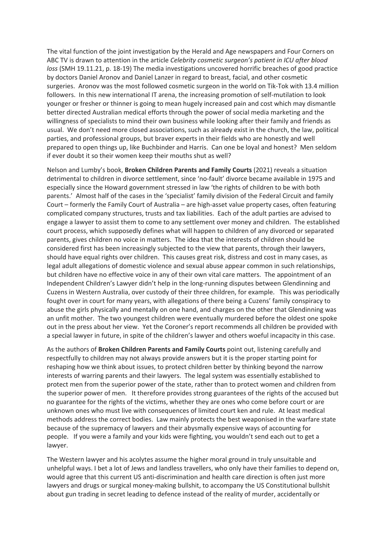The vital function of the joint investigation by the Herald and Age newspapers and Four Corners on ABC TV is drawn to attention in the article *Celebrity cosmetic surgeon's patient in ICU after blood loss* (SMH 19.11.21, p. 18-19) The media investigations uncovered horrific breaches of good practice by doctors Daniel Aronov and Daniel Lanzer in regard to breast, facial, and other cosmetic surgeries. Aronov was the most followed cosmetic surgeon in the world on Tik-Tok with 13.4 million followers. In this new international IT arena, the increasing promotion of self-mutilation to look younger or fresher or thinner is going to mean hugely increased pain and cost which may dismantle better directed Australian medical efforts through the power of social media marketing and the willingness of specialists to mind their own business while looking after their family and friends as usual. We don't need more closed associations, such as already exist in the church, the law, political parties, and professional groups, but braver experts in their fields who are honestly and well prepared to open things up, like Buchbinder and Harris. Can one be loyal and honest? Men seldom if ever doubt it so their women keep their mouths shut as well?

Nelson and Lumby's book, **Broken Children Parents and Family Courts** (2021) reveals a situation detrimental to children in divorce settlement, since 'no-fault' divorce became available in 1975 and especially since the Howard government stressed in law 'the rights of children to be with both parents.' Almost half of the cases in the 'specialist' family division of the Federal Circuit and family Court – formerly the Family Court of Australia – are high-asset value property cases, often featuring complicated company structures, trusts and tax liabilities. Each of the adult parties are advised to engage a lawyer to assist them to come to any settlement over money and children. The established court process, which supposedly defines what will happen to children of any divorced or separated parents, gives children no voice in matters. The idea that the interests of children should be considered first has been increasingly subjected to the view that parents, through their lawyers, should have equal rights over children. This causes great risk, distress and cost in many cases, as legal adult allegations of domestic violence and sexual abuse appear common in such relationships, but children have no effective voice in any of their own vital care matters. The appointment of an Independent Children's Lawyer didn't help in the long-running disputes between Glendinning and Cuzens in Western Australia, over custody of their three children, for example. This was periodically fought over in court for many years, with allegations of there being a Cuzens' family conspiracy to abuse the girls physically and mentally on one hand, and charges on the other that Glendinning was an unfit mother. The two youngest children were eventually murdered before the oldest one spoke out in the press about her view. Yet the Coroner's report recommends all children be provided with a special lawyer in future, in spite of the children's lawyer and others woeful incapacity in this case.

As the authors of **Broken Children Parents and Family Courts** point out, listening carefully and respectfully to children may not always provide answers but it is the proper starting point for reshaping how we think about issues, to protect children better by thinking beyond the narrow interests of warring parents and their lawyers. The legal system was essentially established to protect men from the superior power of the state, rather than to protect women and children from the superior power of men. It therefore provides strong guarantees of the rights of the accused but no guarantee for the rights of the victims, whether they are ones who come before court or are unknown ones who must live with consequences of limited court ken and rule. At least medical methods address the correct bodies. Law mainly protects the best weaponised in the warfare state because of the supremacy of lawyers and their abysmally expensive ways of accounting for people. If you were a family and your kids were fighting, you wouldn't send each out to get a lawyer.

The Western lawyer and his acolytes assume the higher moral ground in truly unsuitable and unhelpful ways. I bet a lot of Jews and landless travellers, who only have their families to depend on, would agree that this current US anti-discrimination and health care direction is often just more lawyers and drugs or surgical money-making bullshit, to accompany the US Constitutional bullshit about gun trading in secret leading to defence instead of the reality of murder, accidentally or